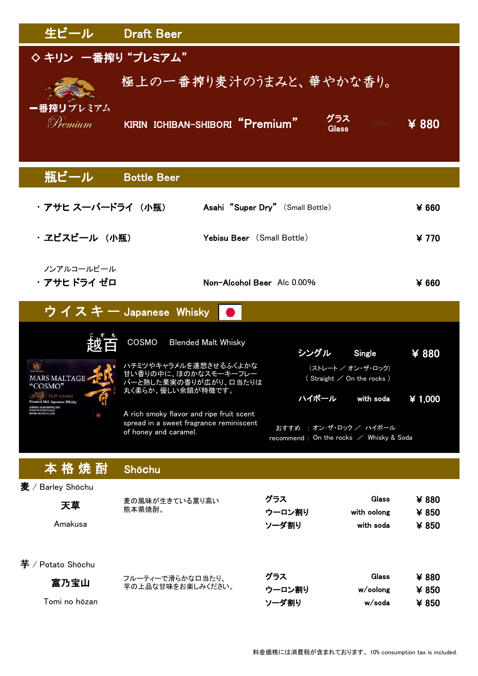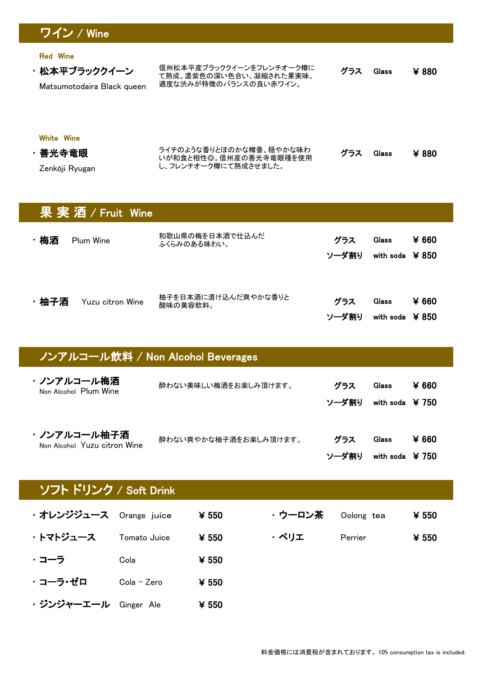## ワイン / Wine

Red Wine

・松本平ブラッククイーン Matsumotodaira Black queen 信州松本平産ブラッククイーンをフレンチオーク樽に て熟成。濃紫色の深い色合い、凝縮された果実味、 適度な渋みが特徴のバランスの良い赤ワイン。 グラス Glass Glass ¥ 880

## White Wine

| ・善光寺竜眼         | ライチのような香りとほのかな樽香、穏やかな味わ<br>いが和食と相性◎。信州産の善光寺竜眼種を使用 | グラス | Glass | ¥ 880 |
|----------------|---------------------------------------------------|-----|-------|-------|
| Zenkōji Ryugan | し、フレンチオーク樽にて熟成させました。                              |     |       |       |

|      | 果実酒/Fruit Wine   |                                 |              |                           |                |  |
|------|------------------|---------------------------------|--------------|---------------------------|----------------|--|
| ・梅酒  | <b>Plum Wine</b> | 和歌山県の梅を日本酒で仕込んだ<br>ふくらみのある味わい。  | グラス<br>ソーダ割り | <b>Glass</b><br>with soda | ¥ 660<br>¥ 850 |  |
| ・柚子酒 | Yuzu citron Wine | 柚子を日本酒に漬け込んだ爽やかな香りと<br>酸味の美容飲料。 | グラス<br>ソーダ割り | <b>Glass</b><br>with soda | ¥ 660<br>¥ 850 |  |

| ノンアルコール飲料 / Non Alcohol Beverages           |                       |              |                                        |                |  |
|---------------------------------------------|-----------------------|--------------|----------------------------------------|----------------|--|
| ・ノンアルコール梅酒<br>Non Alcohol Plum Wine         | 酔わない美味しい梅酒をお楽しみ頂けます。  | グラス<br>ソーダ割り | <b>Glass</b><br>with soda $\angle 750$ | ¥ 660          |  |
| ・ノンアルコール柚子酒<br>Non Alcohol Yuzu citron Wine | 酔わない爽やかな柚子酒をお楽しみ頂けます。 | グラス<br>ソーダ割り | Glass<br>with soda                     | ¥ 660<br>¥ 750 |  |

## ソフト ドリンク / Soft Drink

| ・オレンジジュース Orange juice |              | ¥ 550 | ・ウーロン茶 | Oolong tea | ¥ 550 |
|------------------------|--------------|-------|--------|------------|-------|
|                        |              |       |        |            |       |
| ・トマトジュース               | Tomato Juice | ¥ 550 | ・ペリエ   | Perrier    | ¥ 550 |
| ・コーラ                   | Cola         | ¥ 550 |        |            |       |
| ・コーラ・ゼロ                | Cola - Zero  | ¥ 550 |        |            |       |
| ・ジンジャーエール Ginger Ale   |              | ¥ 550 |        |            |       |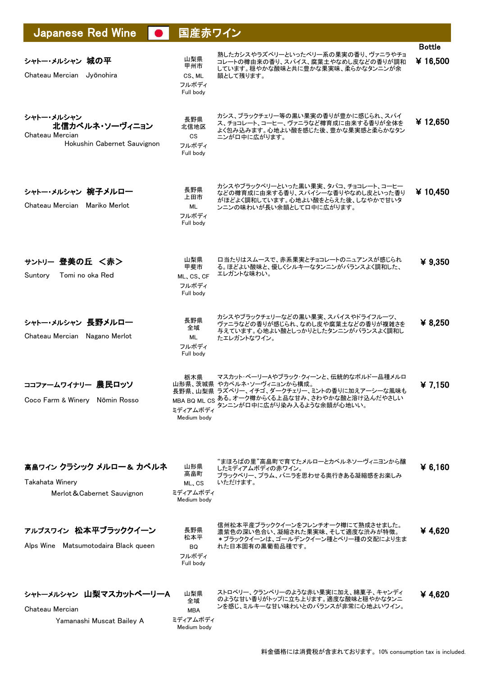| <b>Japanese Red Wine</b>                                                       | 国産赤ワイン                                             |                                                                                                                                                                                                   |                          |
|--------------------------------------------------------------------------------|----------------------------------------------------|---------------------------------------------------------------------------------------------------------------------------------------------------------------------------------------------------|--------------------------|
| シャトー・メルシャン 城の平<br>Chateau Mercian Jyōnohira                                    | 山梨県<br>甲州市<br>CS, ML<br>フルボディ<br>Full body         | 熟したカシスやラズベリーといったベリー系の果実の香り、ヴァニラやチョ<br>コレートの樽由来の香り、スパイス、腐葉土やなめし皮などの香りが調和<br>しています。穏やかな酸味と共に豊かな果実味、柔らかなタンニンが余<br>韻として残ります。                                                                          | <b>Bottle</b><br>¥16,500 |
| シャトー・メルシャン<br>北信カベルネ・ソーヴィニョン<br>Chateau Mercian<br>Hokushin Cabernet Sauvignon | 長野県<br>北信地区<br><b>CS</b><br>フルボディ<br>Full body     | カシス、ブラックチェリー等の黒い果実の香りが豊かに感じられ、スパイ<br>ス、チョコレート、コーヒー、ヴァニラなど樽育成に由来する香りが全体を<br>よく包み込みます。心地よい酸を感じた後、豊かな果実感と柔らかなタン<br>ニンが口中に広がります。                                                                      | ¥12,650                  |
| シャトー・メルシャン 椀子メルロー<br>Chateau Mercian Mariko Merlot                             | 長野県<br>上田市<br>ML<br>フルボディ<br>Full body             | カシスやブラックベリーといった黒い果実、タバコ、チョコレート、コーヒー<br>などの樽育成に由来する香り、スパイシーな香りやなめし皮といった香り<br>がほどよく調和しています。心地よい酸をとらえた後、しなやかで甘いタ<br>ンニンの味わいが長い余韻として口中に広がります。                                                         | ¥ 10,450                 |
| サントリー 登美の丘 <赤><br>Suntory<br>Tomi no oka Red                                   | 山梨県<br>甲斐市<br>ML, CS, CF<br>フルボディ<br>Full body     | ロ当たりはスムースで、赤系果実とチョコレートのニュアンスが感じられ<br>る。ほどよい酸味と、優しくシルキーなタンニンがバランスよく調和した、<br>エレガントな味わい。                                                                                                             | ¥ 9,350                  |
| シャトー・メルシャン 長野メルロー<br>Chateau Mercian Nagano Merlot                             | 長野県<br>全域<br>ML<br>フルボディ<br>Full body              | カシスやブラックチェリーなどの黒い果実、スパイスやドライフルーツ、<br>ヴァニラなどの香りが感じられ、なめし皮や腐葉土などの香りが複雑さを<br>与えています。心地よい酸としっかりとしたタンニンがバランスよく調和し<br>たエレガントなワイン。                                                                       | ¥ $8,250$                |
| ココファームワイナリー 農民ロッソ<br>Coco Farm & Winery Nōmin Rosso                            | 栃木県<br>ミディアムボディ<br>Medium body                     | マスカット・ベーリーAやブラック・クィーンと、伝統的なボルドー品種メルロ<br>山形県、茨城県 やカベルネ・ソーヴィニョンから構成。<br>長野県、山梨県 ラズベリー、イチゴ、ダークチェリー、ミントの香りに加えアーシーな風味も<br>MBA BQ ML CS ある。オーク樽からくる上品な甘み、さわやかな酸と溶け込んだやさしい<br>タンニンがロ中に広がり染み入るような余韻が心地いい。 | ¥7,150                   |
| 高畠ワイン クラシック メルロー& カベルネ<br>Takahata Winery<br>Merlot & Cabernet Sauvignon       | 山形県<br>高畠町<br>ML, CS<br>ミディアムボディ<br>Medium body    | "まほろばの里"高畠町で育てたメルローとカベルネソーヴィニヨンから醸<br>したミディアムボディの赤ワイン。<br>ブラックベリー、プラム、バニラを思わせる奥行きある凝縮感をお楽しみ<br>いただけます。                                                                                            | ¥ 6,160                  |
| アルプスワイン 松本平ブラッククイーン<br>Alps Wine Matsumotodaira Black queen                    | 長野県<br>松本平<br>BQ<br>フルボディ<br>Full body             | 信州松本平産ブラッククイーンをフレンチオーク樽にて熟成させました。<br>濃紫色の深い色合い、凝縮された果実味、そして適度な渋みが特徴。<br>*ブラッククイーンは、ゴールデンクイーン種とベリー種の交配により生ま<br>れた日本固有の黒葡萄品種です。                                                                     | ¥ 4,620                  |
| シャトーメルシャン 山梨マスカットベーリーA<br>Chateau Mercian<br>Yamanashi Muscat Bailey A         | 山梨県<br>全域<br><b>MBA</b><br>ミディアムボディ<br>Medium body | ストロベリー、クランベリーのような赤い果実に加え、綿菓子、キャンディ<br>のような甘い香りがトップに立ち上ります。適度な酸味と穏やかなタンニ<br>ンを感じ、ミルキーな甘い味わいとのバランスが非常に心地よいワイン。                                                                                      | ¥ 4,620                  |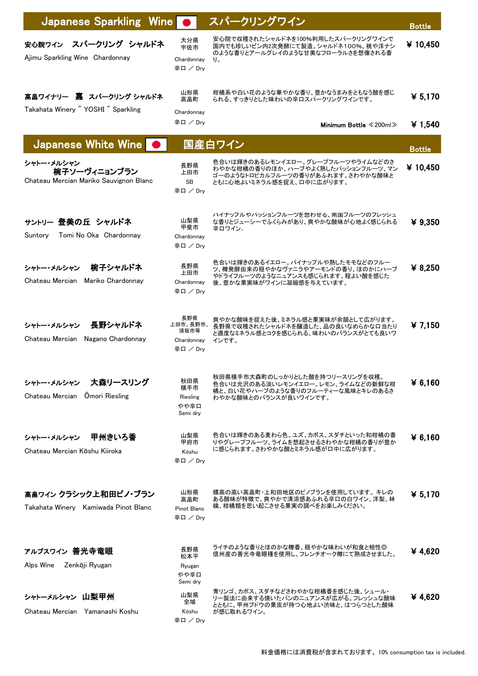| Japanese Sparkling Wine                                              |                                                   | スパークリングワイン                                                                                                                                | <b>Bottle</b> |
|----------------------------------------------------------------------|---------------------------------------------------|-------------------------------------------------------------------------------------------------------------------------------------------|---------------|
| スパークリング シャルドネ<br>安心院ワイン<br>Ajimu Sparkling Wine Chardonnay           | 大分県<br>宇佐市<br>Chardonnay<br>辛口 / Drv              | 安心院で収穫されたシャルドネを100%利用したスパークリングワインで<br>国内でも珍しいビン内2次発酵にて製造。シャルドネ100%、桃や洋ナシ<br>のような香りとアールグレイのような甘美なフローラルさを想像される香<br>り。                       | ¥10,450       |
| 高畠ワイナリー 嘉 スパークリング シャルドネ<br>Takahata Winery "YOSHI" Sparkling         | 山形県<br>高畠町<br>Chardonnay                          | 柑橘系や白い花のような華やかな香り、豊かなうまみをともなう酸を感じ<br>られる、すっきりとした味わいの辛口スパークリングワインです。                                                                       | ¥ 5,170       |
|                                                                      | 辛口 / Dry                                          | Minimum Bottle $\ll$ 200ml $\gg$                                                                                                          | ¥ 1,540       |
| Japanese White Wine                                                  |                                                   | 国産白ワイン                                                                                                                                    | <b>Bottle</b> |
| シャトー・メルシャン<br>椀子ソーヴィニョンブラン<br>Chateau Mercian Mariko Sauvignon Blanc | 長野県<br>上田市<br>SB<br>辛口/Drv                        | 色合いは輝きのあるレモンイエロー。グレープフルーツやライムなどのさ<br>わやかな柑橘の香りのほか、ハーブやよく熟したパッションフルーツ、マン<br>ゴーのようなトロピカルフルーツの香りがあふれます。さわやかな酸味と<br>ともに心地よいミネラル感を捉え、口中に広がります。 | ¥ 10,450      |
| サントリー 登美の丘 シャルドネ<br>Suntory<br>Tomi No Oka Chardonnay                | 山梨県<br>甲斐市<br>Chardonnay<br>辛口 / Dry              | バイナッフルやバッションフルーツを想わせる、南国フルーツのフレッシュ<br>な香りとジューシーでふくらみがあり、爽やかな酸味が心地よく感じられる<br>辛口ワイン。                                                        | ¥ 9,350       |
| 椀子シャルドネ<br>シャトー・メルシャン<br>Chateau Mercian Mariko Chardonnay           | 長野県<br>上田市<br>Chardonnay<br>辛口 / Dry              | 色合いは輝きのあるイエロー。 パイナップルや熟したモモなどのフルー<br>ツ、樽発酵由来の穏やかなヴァニラやアーモンドの香り、ほのかにハーブ<br>やドライフルーツのようなニュアンスも感じられます。程よい酸を感じた<br>後、豊かな果実味がワインに凝縮感を与えています。   | ¥ 8,250       |
| 長野シャルドネ<br>シャトー・メルシャン<br>Chateau Mercian Nagano Chardonnay           | 長野県<br>上田市、長野市、<br>須坂市等<br>Chardonnay<br>辛口 / Dry | 爽やかな酸味を捉えた後、ミネラル感と果実味が余韻として広がります。<br>長野県で収穫されたシャルドネを醸造した、品の良いなめらかな口当たり<br>と適度なミネラル感とコクを感じられる、味わいのバランスがとても良いワ<br>インです。                     | ¥ 7,150       |
| シャトー・メルシャン 大森リースリング<br>Chateau Mercian Omori Riesling                | 秋田県<br>横手市<br>Riesling<br>やや辛口<br>Semi dry        | 秋田県横手市大森町のしっかりとした酸を持つリースリングを収穫。<br>色合いは光沢のある淡いレモンイエロー。レモン、ライムなどの新鮮な柑<br>橘と、白い花やハーブのような香りのフルーティーな風味とキレのあるさ<br>わやかな酸味とのバランスが良いワインです。        | ¥ 6,160       |
| 甲州きいろ香<br>シャトー・メルシャン<br>Chateau Mercian Kōshu Kiiroka                | 山梨県<br>甲府市<br>Kōshu<br>辛口 / Dry                   | 色合いは輝きのある麦わら色。ユズ、カボス、スダチといった和柑橘の香<br>りやグレープフルーツ、ライムを想起させるさわやかな柑橘の香りが豊か<br>に感じられます。さわやかな酸とミネラル感がロ中に広がります。                                  | ¥ 6,160       |
| 高畠ワイン クラシック上和田ピノ・ブラン<br>Takahata Winery Kamiwada Pinot Blanc         | 山形県<br>高畠町<br>Pinot Blanc<br>辛口 / Dry             | 標高の高い高畠町・上和田地区のピノブランを使用しています。 キレの<br>ある酸味が特徴で、爽やかで清涼感あふれる辛口の白ワイン。洋梨、林<br>檎、柑橘類を思い起こさせる果実の調べをお楽しみください。                                     | ¥ 5,170       |
| アルプスワイン 善光寺竜眼<br>Alps Wine Zenkōji Ryugan                            | 長野県<br>松本平<br>Ryugan<br>やや辛口<br>Semi dry          | ライチのような香りとほのかな樽香、穏やかな味わいが和食と相性◎<br>信州産の善光寺竜眼種を使用し、フレンチオーク樽にて熟成させました。                                                                      | ¥ 4,620       |
| シャトーメルシャン 山梨甲州<br>Chateau Mercian Yamanashi Koshu                    | 山梨県<br>全域<br>Kōshu<br>辛口 / Dry                    | 青リンゴ、カボス、スダチなどさわやかな柑橘香を感じた後、シュール・<br>リー製法に由来する焼いたパンのニュアンスが広がる。フレッシュな酸味<br>とともに、甲州ブドウの果皮が持つ心地よい渋味と、はつらつとした酸味<br>が感じ取れるワイン。                 | ¥ 4,620       |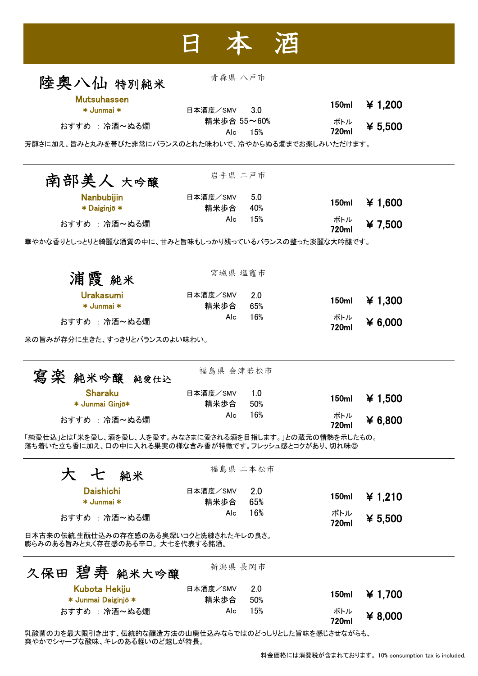| 陸奥八仙 特别純米                                                                                                      | 青森県 八戸市          |            |                   |           |
|----------------------------------------------------------------------------------------------------------------|------------------|------------|-------------------|-----------|
|                                                                                                                |                  |            |                   |           |
| <b>Mutsuhassen</b><br>* Junmai *                                                                               | 日本酒度/SMV         | 3.0        | 150ml             | ¥ 1,200   |
| おすすめ : 冷酒~ぬる燗                                                                                                  | 精米歩合 55~60%      |            | ボトル               | ¥ 5,500   |
|                                                                                                                | Alc              | 15%        | 720ml             |           |
| 芳醇さに加え、旨みと丸みを帯びた非常にバランスのとれた味わいで、冷やからぬる燗までお楽しみいただけます。                                                           |                  |            |                   |           |
| 南部美人 大吟醸                                                                                                       | 岩手県 二戸市          |            |                   |           |
| Nanbubijin                                                                                                     | 日本酒度/SMV         | 5.0        | 150 <sub>ml</sub> | ¥ 1,600   |
| * Daiginjō *                                                                                                   | 精米歩合             | 40%        |                   |           |
| おすすめ : 冷酒~ぬる燗                                                                                                  | Alc              | 15%        | ボトル<br>720ml      | ¥7,500    |
| 華やかな香りとしっとりと綺麗な酒質の中に、甘みと旨味もしっかり残っているバランスの整った淡麗な大吟醸です。                                                          |                  |            |                   |           |
| 浦霞 純米                                                                                                          | 宮城県 塩竈市          |            |                   |           |
|                                                                                                                |                  |            |                   |           |
| <b>Urakasumi</b><br>* Junmai *                                                                                 | 日本酒度/SMV<br>精米歩合 | 2.0<br>65% | 150ml             | ¥ 1,300   |
|                                                                                                                | Alc              | 16%        | ボトル               |           |
| おすすめ : 冷酒~ぬる燗                                                                                                  |                  |            | 720ml             | $*6,000$  |
| 米の旨みが存分に生きた、すっきりとバランスのよい味わい。                                                                                   |                  |            |                   |           |
| 純米吟醸<br>純愛仕込                                                                                                   | 福島県 会津若松市        |            |                   |           |
| <b>Sharaku</b>                                                                                                 | 日本酒度/SMV         | 1.0        |                   |           |
| * Junmai Ginjō*                                                                                                | 精米歩合             | 50%        | 150ml             | ¥ 1,500   |
| おすすめ : 冷酒~ぬる燗                                                                                                  | Alc              | 16%        | ボトル<br>720ml      | ¥ 6,800   |
| 「純愛仕込」とは「米を愛し、酒を愛し、人を愛す。みなさまに愛される酒を目指します。」との蔵元の情熱を示したもの。<br>落ち着いた立ち香に加え、口の中に入れる果実の様な含み香が特徴です。フレッシュ感とコクがあり、切れ味◎ |                  |            |                   |           |
| 大 七 純米                                                                                                         |                  | 福島県 二本松市   |                   |           |
| <b>Daishichi</b>                                                                                               | 日本酒度/SMV         | 2.0        |                   |           |
| * Junmai *                                                                                                     | 精米歩合             | 65%        | 150ml             | ¥ 1,210   |
| おすすめ : 冷酒~ぬる燗                                                                                                  | Alc              | 16%        | ボトル               | ¥ $5,500$ |
| 日本古来の伝統,生酛仕込みの存在感のある奥深いコクと洗練されたキレの良さ。                                                                          |                  |            | 720ml             |           |
| 膨らみのある旨みと丸く存在感のある辛口。大七を代表する銘酒。                                                                                 |                  |            |                   |           |
| 久保田 碧寿 純米大吟醸                                                                                                   | 新潟県 長岡市          |            |                   |           |
| Kubota Hekiju                                                                                                  | 日本酒度/SMV         | 2.0        | 150ml             | ¥ 1,700   |
| * Junmai Daiginjō *                                                                                            | 精米歩合             | 50%        |                   |           |
| おすすめ : 冷酒~ぬる燗                                                                                                  | Alc              | 15%        | ボトル<br>720ml      | ¥ $8,000$ |

乳酸菌の力を最大限引き出す、伝統的な醸造方法の山廃仕込みならではのどっしりとした旨味を感じさせながらも、 爽やかでシャープな酸味、キレのある軽いのど越しが特長。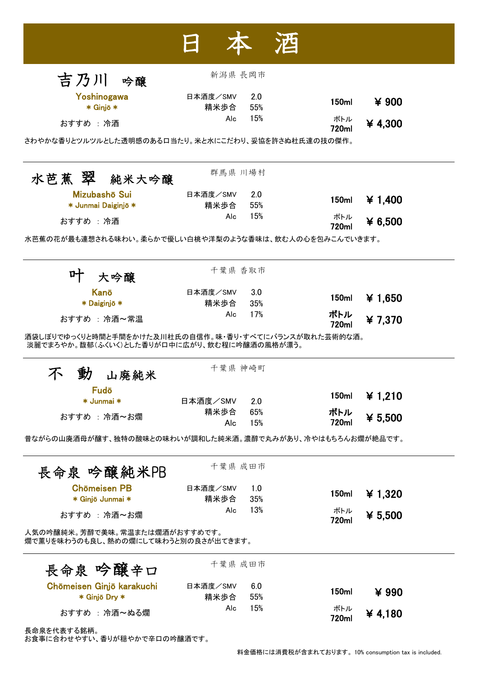|                                                                      | 新潟県 長岡市     |            |                   |           |
|----------------------------------------------------------------------|-------------|------------|-------------------|-----------|
| 吉乃川 吟醸                                                               |             |            |                   |           |
| Yoshinogawa                                                          | 日本酒度/SMV    | 2.0<br>55% | 150 <sub>ml</sub> | ¥ 900     |
| * Ginjō *                                                            | 精米歩合<br>Alc | 15%        | ボトル               |           |
| おすすめ : 冷酒                                                            |             |            | 720ml             | ¥4,300    |
| さわやかな香りとツルツルとした透明感のあるロ当たり。米と水にこだわり、妥協を許さぬ杜氏達の技の傑作。                   |             |            |                   |           |
| 水芭蕉 翠 純米大吟醸                                                          | 群馬県 川場村     |            |                   |           |
| Mizubashō Sui                                                        | 日本酒度/SMV    | 2.0        | 150ml             |           |
| * Junmai Daiginjō *                                                  | 精米歩合        | 55%        |                   | ¥ 1,400   |
| おすすめ : 冷酒                                                            | Alc         | 15%        | ボトル<br>720ml      | ¥ $6,500$ |
| 水芭蕉の花が最も連想される味わい。柔らかで優しい白桃や洋梨のような香味は、飲む人の心を包みこんでいきます。                |             |            |                   |           |
| 大吟醸                                                                  | 千葉県 香取市     |            |                   |           |
| Kanō                                                                 | 日本酒度/SMV    | 3.0        |                   |           |
| * Daiginjō *                                                         | 精米歩合        | 35%        | 150ml             | ¥1,650    |
| おすすめ : 冷酒~常温                                                         | Alc         | 17%        | ボトル<br>720ml      | ¥7,370    |
| 淡麗でまろやか。馥郁(ふくいく)とした香りがロ中に広がり、飲む程に吟醸酒の風格が漂う。<br>山廃純米                  | 千葉県 神崎町     |            |                   |           |
| Fudō                                                                 |             |            | 150ml             | ¥ 1.210   |
| * Junmai *                                                           | 日本酒度/SMV    | 2.0        |                   |           |
| おすすめ : 冷酒~お燗                                                         | 精米歩合<br>Alc | 65%<br>15% | ボトル<br>720ml      | ¥ $5,500$ |
| 昔ながらの山廃酒母が醸す、独特の酸味との味わいが調和した純米酒。濃醇で丸みがあり、冷やはもちろんお燗が絶品です。             |             |            |                   |           |
| 長命泉 吟醸純米PB                                                           | 千葉県 成田市     |            |                   |           |
| <b>Chōmeisen PB</b>                                                  | 日本酒度/SMV    | 1.0        | 150ml             | ¥ 1,320   |
| * Ginjō Junmai *                                                     | 精米歩合<br>Alc | 35%<br>13% | ボトル               |           |
| おすすめ : 冷酒~お燗                                                         |             |            | 720ml             | ¥ 5,500   |
| 人気の吟醸純米。芳醇で美味。常温または燗酒がおすすめです。<br>燗で薫りを味わうのも良し、熱めの燗にして味わうと別の良さが出てきます。 |             |            |                   |           |
| 長命泉 吟醸辛口                                                             | 千葉県 成田市     |            |                   |           |
| Chōmeisen Ginjō karakuchi                                            | 日本酒度/SMV    | 6.0        | 150ml             | ¥ 990     |
| * Ginjō Dry *                                                        | 精米歩合        | 55%<br>15% |                   |           |
| おすすめ : 冷酒~ぬる燗                                                        | Alc         |            | ボトル<br>720ml      | ¥4,180    |
| 長命泉を代表する銘柄。                                                          |             |            |                   |           |

お食事に合わせやすい、香りが穏やかで辛口の吟醸酒です。